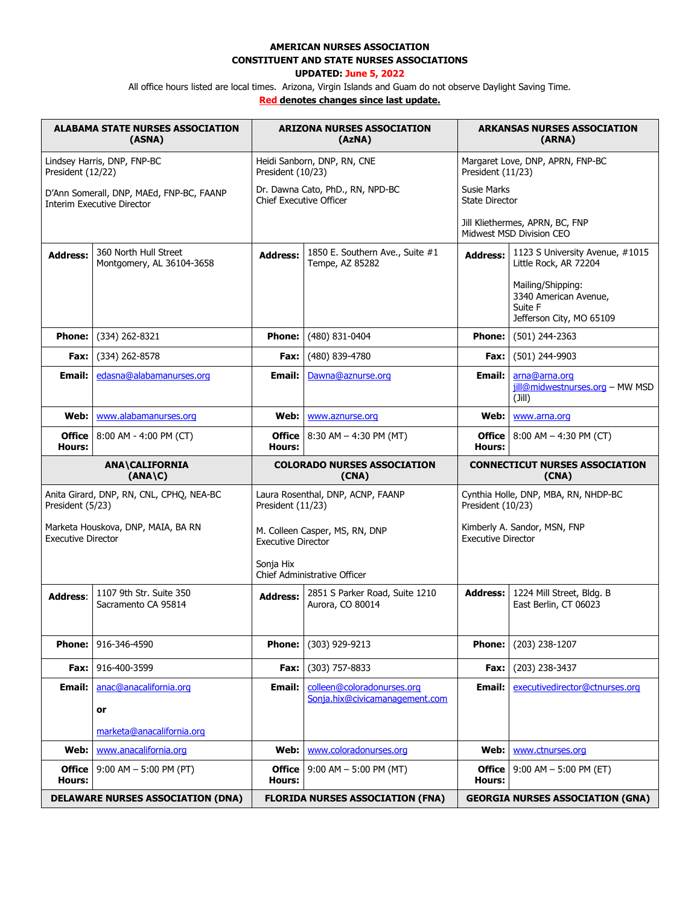## **AMERICAN NURSES ASSOCIATION**

**CONSTITUENT AND STATE NURSES ASSOCIATIONS**

## **UPDATED: June 5, 2022**

All office hours listed are local times. Arizona, Virgin Islands and Guam do not observe Daylight Saving Time.

**Red denotes changes since last update.**

| <b>ALABAMA STATE NURSES ASSOCIATION</b><br>(ASNA)                             |                                                                                                                                                                                     | <b>ARIZONA NURSES ASSOCIATION</b><br>(AzNA)                        |                                                    | <b>ARKANSAS NURSES ASSOCIATION</b><br>(ARNA)                |                                                                                   |
|-------------------------------------------------------------------------------|-------------------------------------------------------------------------------------------------------------------------------------------------------------------------------------|--------------------------------------------------------------------|----------------------------------------------------|-------------------------------------------------------------|-----------------------------------------------------------------------------------|
| Lindsey Harris, DNP, FNP-BC<br>President (12/22)                              |                                                                                                                                                                                     | Heidi Sanborn, DNP, RN, CNE<br>President (10/23)                   |                                                    | Margaret Love, DNP, APRN, FNP-BC<br>President (11/23)       |                                                                                   |
| D'Ann Somerall, DNP, MAEd, FNP-BC, FAANP<br><b>Interim Executive Director</b> |                                                                                                                                                                                     | Dr. Dawna Cato, PhD., RN, NPD-BC<br><b>Chief Executive Officer</b> |                                                    | <b>Susie Marks</b><br><b>State Director</b>                 |                                                                                   |
|                                                                               |                                                                                                                                                                                     |                                                                    |                                                    | Jill Kliethermes, APRN, BC, FNP<br>Midwest MSD Division CEO |                                                                                   |
| <b>Address:</b>                                                               | 360 North Hull Street<br>Montgomery, AL 36104-3658                                                                                                                                  | <b>Address:</b>                                                    | 1850 E. Southern Ave., Suite #1<br>Tempe, AZ 85282 | <b>Address:</b>                                             | 1123 S University Avenue, #1015<br>Little Rock, AR 72204                          |
|                                                                               |                                                                                                                                                                                     |                                                                    |                                                    |                                                             | Mailing/Shipping:<br>3340 American Avenue,<br>Suite F<br>Jefferson City, MO 65109 |
| <b>Phone:</b>                                                                 | (334) 262-8321                                                                                                                                                                      | <b>Phone:</b>                                                      | (480) 831-0404                                     | <b>Phone:</b>                                               | (501) 244-2363                                                                    |
| Fax:                                                                          | (334) 262-8578                                                                                                                                                                      | Fax:                                                               | (480) 839-4780                                     | Fax:                                                        | (501) 244-9903                                                                    |
| <b>Email:</b>                                                                 | edasna@alabamanurses.org                                                                                                                                                            | Email:                                                             | Dawna@aznurse.org                                  | Email:                                                      | arna@arna.org<br>jill@midwestnurses.org - MW MSD<br>(I  I)                        |
| Web:                                                                          | www.alabamanurses.org                                                                                                                                                               | Web: I                                                             | www.aznurse.org                                    | Web:                                                        | www.arna.org                                                                      |
| <b>Office</b><br><b>Hours:</b>                                                | 8:00 AM - 4:00 PM (CT)                                                                                                                                                              | Hours:                                                             | <b>Office</b>   8:30 AM $-$ 4:30 PM (MT)           | <b>Office</b><br>Hours:                                     | $8:00$ AM $-$ 4:30 PM (CT)                                                        |
| <b>ANA\CALIFORNIA</b><br>$(ANA\ C)$                                           |                                                                                                                                                                                     | <b>COLORADO NURSES ASSOCIATION</b><br>(CNA)                        |                                                    | <b>CONNECTICUT NURSES ASSOCIATION</b><br>(CNA)              |                                                                                   |
|                                                                               | Anita Girard, DNP, RN, CNL, CPHQ, NEA-BC<br>Laura Rosenthal, DNP, ACNP, FAANP<br>Cynthia Holle, DNP, MBA, RN, NHDP-BC<br>President (5/23)<br>President (11/23)<br>President (10/23) |                                                                    |                                                    |                                                             |                                                                                   |
| <b>Executive Director</b>                                                     | Marketa Houskova, DNP, MAIA, BA RN                                                                                                                                                  | M. Colleen Casper, MS, RN, DNP<br><b>Executive Director</b>        |                                                    | Kimberly A. Sandor, MSN, FNP<br><b>Executive Director</b>   |                                                                                   |
|                                                                               |                                                                                                                                                                                     | Sonja Hix<br>Chief Administrative Officer                          |                                                    |                                                             |                                                                                   |
| <b>Address:</b>                                                               | 1107 9th Str. Suite 350<br>Sacramento CA 95814                                                                                                                                      | <b>Address:</b>                                                    | 2851 S Parker Road, Suite 1210<br>Aurora, CO 80014 | <b>Address:</b>                                             | 1224 Mill Street, Bldg. B<br>East Berlin, CT 06023                                |
| <b>Phone:</b>                                                                 | 916-346-4590                                                                                                                                                                        | <b>Phone:</b>                                                      | (303) 929-9213                                     | <b>Phone:</b>                                               | (203) 238-1207                                                                    |
| Fax:                                                                          | 916-400-3599                                                                                                                                                                        | Fax:                                                               | (303) 757-8833                                     | Fax:                                                        | (203) 238-3437                                                                    |
| <b>Email:</b>                                                                 | anac@anacalifornia.org                                                                                                                                                              | Email:                                                             | colleen@coloradonurses.org                         | Email:                                                      | executivedirector@ctnurses.org                                                    |
|                                                                               | or                                                                                                                                                                                  |                                                                    | Sonja.hix@civicamanagement.com                     |                                                             |                                                                                   |
|                                                                               | marketa@anacalifornia.org                                                                                                                                                           |                                                                    |                                                    |                                                             |                                                                                   |
| Web:                                                                          | www.anacalifornia.org                                                                                                                                                               | Web:                                                               | www.coloradonurses.org                             | Web:                                                        | www.ctnurses.org                                                                  |
| <b>Office</b><br>Hours:                                                       | $9:00$ AM $-5:00$ PM (PT)                                                                                                                                                           | <b>Office</b><br>Hours:                                            | $9:00$ AM $-5:00$ PM (MT)                          | <b>Office</b><br>Hours:                                     | $9:00$ AM $-5:00$ PM (ET)                                                         |
| <b>DELAWARE NURSES ASSOCIATION (DNA)</b>                                      |                                                                                                                                                                                     |                                                                    | <b>FLORIDA NURSES ASSOCIATION (FNA)</b>            |                                                             | <b>GEORGIA NURSES ASSOCIATION (GNA)</b>                                           |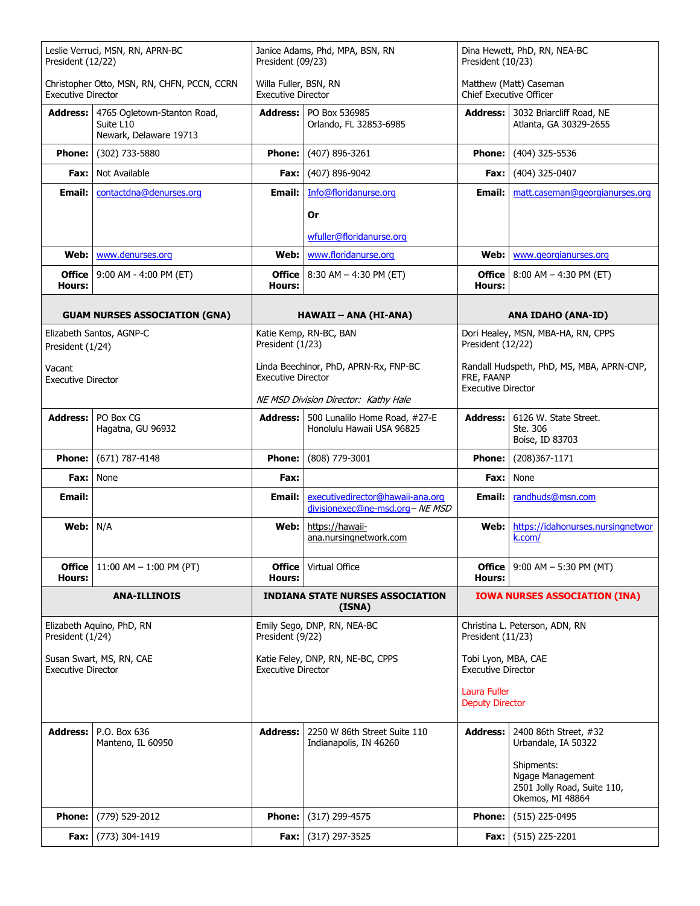| Leslie Verruci, MSN, RN, APRN-BC<br>President (12/22)                    |                                                                    | Janice Adams, Phd, MPA, BSN, RN<br>President (09/23)               |                                                                     | Dina Hewett, PhD, RN, NEA-BC<br>President (10/23)                                    |                                                                                   |
|--------------------------------------------------------------------------|--------------------------------------------------------------------|--------------------------------------------------------------------|---------------------------------------------------------------------|--------------------------------------------------------------------------------------|-----------------------------------------------------------------------------------|
| Christopher Otto, MSN, RN, CHFN, PCCN, CCRN<br><b>Executive Director</b> |                                                                    | Willa Fuller, BSN, RN<br><b>Executive Director</b>                 |                                                                     | Chief Executive Officer                                                              | Matthew (Matt) Caseman                                                            |
| <b>Address:</b>                                                          | 4765 Ogletown-Stanton Road,<br>Suite L10<br>Newark, Delaware 19713 |                                                                    | <b>Address:   PO Box 536985</b><br>Orlando, FL 32853-6985           |                                                                                      | Address: 3032 Briarcliff Road, NE<br>Atlanta, GA 30329-2655                       |
| <b>Phone:</b>                                                            | (302) 733-5880                                                     | <b>Phone:</b>                                                      | (407) 896-3261                                                      | <b>Phone:</b>                                                                        | (404) 325-5536                                                                    |
| Fax:                                                                     | Not Available                                                      | Fax:                                                               | (407) 896-9042                                                      | Fax:                                                                                 | (404) 325-0407                                                                    |
| Email:                                                                   | contactdna@denurses.org                                            | Email:                                                             | Info@floridanurse.org                                               | Email:                                                                               | matt.caseman@georgianurses.org                                                    |
|                                                                          |                                                                    |                                                                    | Or                                                                  |                                                                                      |                                                                                   |
|                                                                          |                                                                    |                                                                    | wfuller@floridanurse.org                                            |                                                                                      |                                                                                   |
| Web:                                                                     | www.denurses.org                                                   | Web:                                                               | www.floridanurse.org                                                | Web:                                                                                 | www.georgianurses.org                                                             |
| Office<br>Hours:                                                         | 9:00 AM - 4:00 PM (ET)                                             | <b>Hours:</b>                                                      | <b>Office</b>   8:30 AM $-$ 4:30 PM (ET)                            | <b>Office</b><br>Hours:                                                              | $8:00$ AM $-$ 4:30 PM (ET)                                                        |
|                                                                          | <b>GUAM NURSES ASSOCIATION (GNA)</b>                               |                                                                    | HAWAII – ANA (HI-ANA)                                               |                                                                                      | <b>ANA IDAHO (ANA-ID)</b>                                                         |
| Elizabeth Santos, AGNP-C<br>President (1/24)                             |                                                                    | President (1/23)                                                   | Katie Kemp, RN-BC, BAN                                              | President (12/22)                                                                    | Dori Healey, MSN, MBA-HA, RN, CPPS                                                |
| Vacant<br><b>Executive Director</b>                                      |                                                                    | Linda Beechinor, PhD, APRN-Rx, FNP-BC<br><b>Executive Director</b> |                                                                     | Randall Hudspeth, PhD, MS, MBA, APRN-CNP,<br>FRE, FAANP<br><b>Executive Director</b> |                                                                                   |
|                                                                          |                                                                    |                                                                    | NE MSD Division Director: Kathy Hale                                |                                                                                      |                                                                                   |
| <b>Address:</b>                                                          | PO Box CG<br>Hagatna, GU 96932                                     | Address: I                                                         | 500 Lunalilo Home Road, #27-E<br>Honolulu Hawaii USA 96825          | <b>Address:</b>                                                                      | 6126 W. State Street.<br>Ste. 306<br>Boise, ID 83703                              |
| <b>Phone:</b>                                                            | $(671) 787 - 4148$                                                 | <b>Phone:</b>                                                      | (808) 779-3001                                                      | <b>Phone:</b>                                                                        | (208)367-1171                                                                     |
| Fax:                                                                     | None                                                               | Fax:                                                               |                                                                     | Fax:                                                                                 | None                                                                              |
| Email:                                                                   |                                                                    | Email:                                                             | executivedirector@hawaii-ana.org<br>divisionexec@ne-msd.org- NE MSD | Email:                                                                               | randhuds@msn.com                                                                  |
| Web:                                                                     | N/A                                                                | Web:                                                               | https://hawaii-<br>ana.nursingnetwork.com                           | Web:                                                                                 | https://idahonurses.nursingnetwor<br>k.com/                                       |
| <b>Office</b><br><b>Hours:</b>                                           | 11:00 AM $-$ 1:00 PM (PT)                                          | Office  <br>Hours:                                                 | Virtual Office                                                      | <b>Office</b><br>Hours:                                                              | $9:00$ AM $-5:30$ PM (MT)                                                         |
|                                                                          | <b>ANA-ILLINOIS</b>                                                |                                                                    | <b>INDIANA STATE NURSES ASSOCIATION</b><br>(ISNA)                   |                                                                                      | <b>IOWA NURSES ASSOCIATION (INA)</b>                                              |
| President (1/24)                                                         | Elizabeth Aquino, PhD, RN                                          | Emily Sego, DNP, RN, NEA-BC<br>President (9/22)                    |                                                                     | Christina L. Peterson, ADN, RN<br>President (11/23)                                  |                                                                                   |
| <b>Executive Director</b>                                                | Susan Swart, MS, RN, CAE                                           | Katie Feley, DNP, RN, NE-BC, CPPS<br><b>Executive Director</b>     |                                                                     | Tobi Lyon, MBA, CAE<br><b>Executive Director</b>                                     |                                                                                   |
|                                                                          |                                                                    |                                                                    |                                                                     | Laura Fuller<br><b>Deputy Director</b>                                               |                                                                                   |
| <b>Address:</b>                                                          | P.O. Box 636<br>Manteno, IL 60950                                  | <b>Address:</b>                                                    | 2250 W 86th Street Suite 110<br>Indianapolis, IN 46260              | <b>Address:</b>                                                                      | 2400 86th Street, #32<br>Urbandale, IA 50322                                      |
|                                                                          |                                                                    |                                                                    |                                                                     |                                                                                      | Shipments:<br>Ngage Management<br>2501 Jolly Road, Suite 110,<br>Okemos, MI 48864 |
| <b>Phone:</b>                                                            | (779) 529-2012                                                     | <b>Phone:</b>                                                      | (317) 299-4575                                                      | <b>Phone:</b>                                                                        | (515) 225-0495                                                                    |
|                                                                          | <b>Fax:</b> $(773)$ 304-1419                                       |                                                                    | <b>Fax:</b> $(317)$ 297-3525                                        | Fax:                                                                                 | $(515)$ 225-2201                                                                  |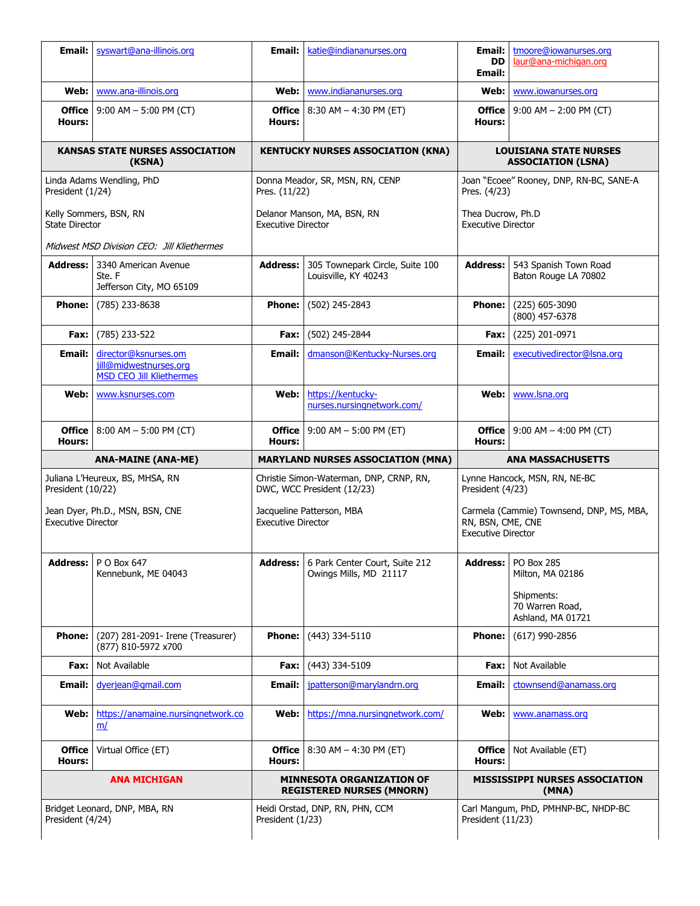| Email:                                          | syswart@ana-illinois.org                                                          | Email:                                           | katie@indiananurses.org                                               | Email:<br><b>DD</b>                            | tmoore@iowanurses.org<br>laur@ana-michigan.org                                       |  |
|-------------------------------------------------|-----------------------------------------------------------------------------------|--------------------------------------------------|-----------------------------------------------------------------------|------------------------------------------------|--------------------------------------------------------------------------------------|--|
|                                                 |                                                                                   |                                                  |                                                                       | Email:                                         |                                                                                      |  |
| Web:                                            | www.ana-illinois.org                                                              | Web:                                             | www.indiananurses.org                                                 | Web:                                           | www.iowanurses.org                                                                   |  |
| <b>Office</b><br>Hours:                         | $9:00$ AM $-5:00$ PM (CT)                                                         | Hours:                                           | <b>Office</b>   8:30 AM $-$ 4:30 PM (ET)                              | <b>Office</b><br>Hours:                        | $9:00$ AM $- 2:00$ PM (CT)                                                           |  |
| KANSAS STATE NURSES ASSOCIATION<br>(KSNA)       |                                                                                   |                                                  | <b>KENTUCKY NURSES ASSOCIATION (KNA)</b>                              |                                                | <b>LOUISIANA STATE NURSES</b><br><b>ASSOCIATION (LSNA)</b>                           |  |
| Linda Adams Wendling, PhD<br>President (1/24)   |                                                                                   | Donna Meador, SR, MSN, RN, CENP<br>Pres. (11/22) |                                                                       |                                                | Joan "Ecoee" Rooney, DNP, RN-BC, SANE-A<br>Pres. (4/23)                              |  |
| Kelly Sommers, BSN, RN<br><b>State Director</b> |                                                                                   | <b>Executive Director</b>                        | Delanor Manson, MA, BSN, RN                                           | Thea Ducrow, Ph.D<br><b>Executive Director</b> |                                                                                      |  |
|                                                 | Midwest MSD Division CEO: Jill Kliethermes                                        |                                                  |                                                                       |                                                |                                                                                      |  |
| <b>Address:</b>                                 | 3340 American Avenue<br>Ste. F<br>Jefferson City, MO 65109                        | <b>Address:</b>                                  | 305 Townepark Circle, Suite 100<br>Louisville, KY 40243               | <b>Address:</b>                                | 543 Spanish Town Road<br>Baton Rouge LA 70802                                        |  |
| <b>Phone:</b>                                   | (785) 233-8638                                                                    | <b>Phone:</b>                                    | (502) 245-2843                                                        | <b>Phone:</b>                                  | (225) 605-3090<br>(800) 457-6378                                                     |  |
| Fax:                                            | (785) 233-522                                                                     | Fax:                                             | (502) 245-2844                                                        | Fax:                                           | (225) 201-0971                                                                       |  |
| Email:                                          | director@ksnurses.om<br>jill@midwestnurses.org<br><b>MSD CEO Jill Kliethermes</b> | Email:                                           | dmanson@Kentucky-Nurses.org                                           | Email:                                         | executivedirector@Isna.org                                                           |  |
| Web:                                            | www.ksnurses.com                                                                  | Web:                                             | https://kentucky-<br>nurses.nursingnetwork.com/                       | Web:                                           | www.lsna.org                                                                         |  |
| <b>Office</b><br>Hours:                         | $8:00$ AM $-5:00$ PM (CT)                                                         | Hours:                                           | <b>Office</b>   9:00 AM $-$ 5:00 PM (ET)                              | <b>Office</b><br>Hours:                        | $9:00$ AM $-$ 4:00 PM (CT)                                                           |  |
|                                                 |                                                                                   |                                                  |                                                                       |                                                |                                                                                      |  |
|                                                 | <b>ANA-MAINE (ANA-ME)</b>                                                         |                                                  | <b>MARYLAND NURSES ASSOCIATION (MNA)</b>                              |                                                | <b>ANA MASSACHUSETTS</b>                                                             |  |
| President (10/22)                               | Juliana L'Heureux, BS, MHSA, RN                                                   |                                                  | Christie Simon-Waterman, DNP, CRNP, RN,<br>DWC, WCC President (12/23) | President (4/23)                               | Lynne Hancock, MSN, RN, NE-BC                                                        |  |
| <b>Executive Director</b>                       | Jean Dyer, Ph.D., MSN, BSN, CNE                                                   | <b>Executive Director</b>                        | Jacqueline Patterson, MBA                                             | RN, BSN, CME, CNE<br><b>Executive Director</b> | Carmela (Cammie) Townsend, DNP, MS, MBA,                                             |  |
| <b>Address:</b>                                 | P O Box 647<br>Kennebunk, ME 04043                                                |                                                  | Address: 6 Park Center Court, Suite 212<br>Owings Mills, MD 21117     | Address:                                       | PO Box 285<br>Milton, MA 02186<br>Shipments:<br>70 Warren Road,<br>Ashland, MA 01721 |  |
| <b>Phone:</b>                                   | (207) 281-2091- Irene (Treasurer)<br>(877) 810-5972 x700                          | <b>Phone:</b>                                    | (443) 334-5110                                                        | <b>Phone:</b>                                  | $(617)$ 990-2856                                                                     |  |
| Fax:                                            | Not Available                                                                     | Fax:                                             | (443) 334-5109                                                        | Fax:                                           | Not Available                                                                        |  |
| Email:                                          | dyerjean@gmail.com                                                                | Email:                                           | jpatterson@marylandrn.org                                             | Email:                                         | ctownsend@anamass.org                                                                |  |
| Web:                                            | https://anamaine.nursingnetwork.co<br>m/                                          | Web:                                             | https://mna.nursingnetwork.com/                                       | Web:                                           | www.anamass.org                                                                      |  |
| <b>Office</b><br>Hours:                         | Virtual Office (ET)                                                               | <b>Office</b><br>Hours:                          | 8:30 AM $-$ 4:30 PM (ET)                                              | <b>Office</b><br>Hours:                        | Not Available (ET)                                                                   |  |
|                                                 | <b>ANA MICHIGAN</b>                                                               |                                                  | <b>MINNESOTA ORGANIZATION OF</b><br><b>REGISTERED NURSES (MNORN)</b>  |                                                | <b>MISSISSIPPI NURSES ASSOCIATION</b><br>(MNA)                                       |  |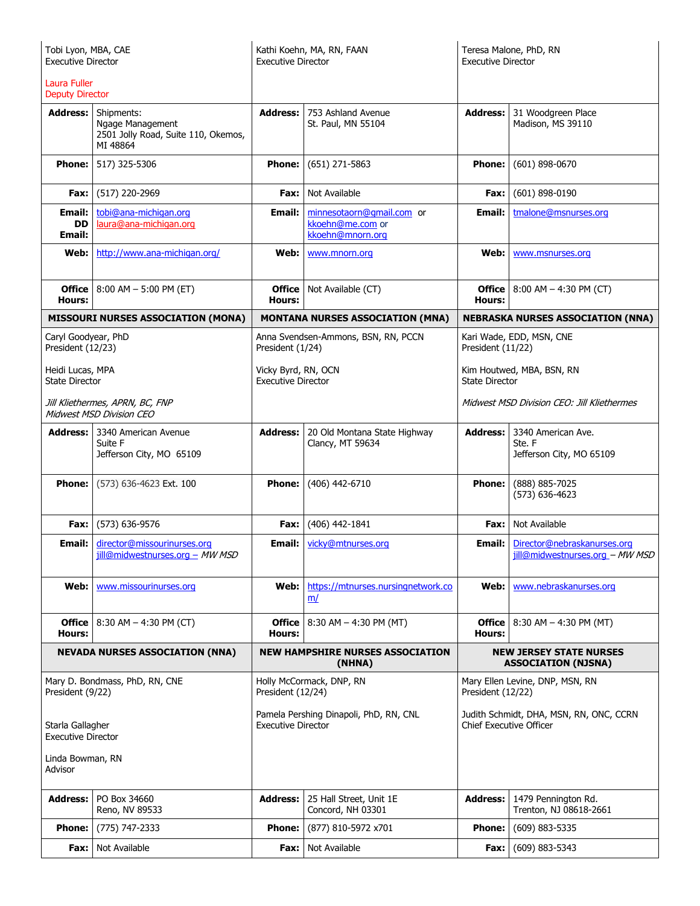| Tobi Lyon, MBA, CAE<br><b>Executive Director</b>                   |                                                                                   | Kathi Koehn, MA, RN, FAAN<br><b>Executive Director</b>              |                                                                   | Teresa Malone, PhD, RN<br><b>Executive Director</b>                       |                                                                |
|--------------------------------------------------------------------|-----------------------------------------------------------------------------------|---------------------------------------------------------------------|-------------------------------------------------------------------|---------------------------------------------------------------------------|----------------------------------------------------------------|
| Laura Fuller<br><b>Deputy Director</b>                             |                                                                                   |                                                                     |                                                                   |                                                                           |                                                                |
| <b>Address:</b>                                                    | Shipments:<br>Ngage Management<br>2501 Jolly Road, Suite 110, Okemos,<br>MI 48864 | <b>Address:</b>                                                     | 753 Ashland Avenue<br>St. Paul, MN 55104                          | <b>Address:</b>                                                           | 31 Woodgreen Place<br>Madison, MS 39110                        |
| <b>Phone:</b>                                                      | 517) 325-5306                                                                     | Phone:                                                              | $(651)$ 271-5863                                                  | <b>Phone:</b>                                                             | $(601) 898 - 0670$                                             |
| Fax:                                                               | (517) 220-2969                                                                    | Fax: I                                                              | Not Available                                                     | Fax:                                                                      | $(601)$ 898-0190                                               |
| Email:<br>DD<br><b>Email:</b>                                      | tobi@ana-michigan.org<br>laura@ana-michigan.org                                   | Email:                                                              | minnesotaorn@gmail.com or<br>kkoehn@me.com or<br>kkoehn@mnorn.org | Email:                                                                    | tmalone@msnurses.org                                           |
| Web:                                                               | http://www.ana-michigan.org/                                                      | Web:                                                                | www.mnorn.org                                                     | Web:                                                                      | www.msnurses.org                                               |
| <b>Office</b><br><b>Hours:</b>                                     | $8:00$ AM $-5:00$ PM (ET)                                                         | Office  <br>Hours:                                                  | Not Available (CT)                                                | <b>Office</b><br>Hours:                                                   | $8:00$ AM $-$ 4:30 PM (CT)                                     |
|                                                                    | <b>MISSOURI NURSES ASSOCIATION (MONA)</b>                                         |                                                                     | <b>MONTANA NURSES ASSOCIATION (MNA)</b>                           |                                                                           | <b>NEBRASKA NURSES ASSOCIATION (NNA)</b>                       |
| Caryl Goodyear, PhD<br>President (12/23)                           |                                                                                   | President (1/24)                                                    | Anna Svendsen-Ammons, BSN, RN, PCCN                               | President (11/22)                                                         | Kari Wade, EDD, MSN, CNE                                       |
| Heidi Lucas, MPA<br><b>State Director</b>                          |                                                                                   | Vicky Byrd, RN, OCN<br><b>Executive Director</b>                    |                                                                   | Kim Houtwed, MBA, BSN, RN<br><b>State Director</b>                        |                                                                |
| Jill Kliethermes, APRN, BC, FNP<br><b>Midwest MSD Division CEO</b> |                                                                                   |                                                                     |                                                                   | Midwest MSD Division CEO: Jill Kliethermes                                |                                                                |
| <b>Address:</b>                                                    | 3340 American Avenue<br>Suite F<br>Jefferson City, MO 65109                       | <b>Address:</b>                                                     | 20 Old Montana State Highway<br>Clancy, MT 59634                  | <b>Address:</b>                                                           | 3340 American Ave.<br>Ste. F<br>Jefferson City, MO 65109       |
| <b>Phone:</b>                                                      | (573) 636-4623 Ext. 100                                                           | <b>Phone:</b>                                                       | (406) 442-6710                                                    | <b>Phone:</b>                                                             | (888) 885-7025<br>(573) 636-4623                               |
| Fax:                                                               | (573) 636-9576                                                                    | Fax: I                                                              | (406) 442-1841                                                    | Fax:                                                                      | Not Available                                                  |
| Email:                                                             | director@missourinurses.org<br>jill@midwestnurses.org - MW MSD                    | Email:                                                              | vicky@mtnurses.org                                                | Email:                                                                    | Director@nebraskanurses.org<br>jill@midwestnurses.org - MW MSD |
| Web:                                                               | www.missourinurses.org                                                            | Web: l                                                              | https://mtnurses.nursingnetwork.co<br>m/                          | Web:                                                                      | www.nebraskanurses.org                                         |
| <b>Office</b><br><b>Hours:</b>                                     | $8:30$ AM $-$ 4:30 PM (CT)                                                        | Office<br>Hours:                                                    | $8:30$ AM $-$ 4:30 PM (MT)                                        | <b>Office</b><br>Hours:                                                   | $8:30$ AM $-$ 4:30 PM (MT)                                     |
|                                                                    | <b>NEVADA NURSES ASSOCIATION (NNA)</b>                                            | <b>NEW HAMPSHIRE NURSES ASSOCIATION</b><br>(NHNA)                   |                                                                   | <b>NEW JERSEY STATE NURSES</b><br><b>ASSOCIATION (NJSNA)</b>              |                                                                |
| President (9/22)                                                   | Mary D. Bondmass, PhD, RN, CNE                                                    | Holly McCormack, DNP, RN<br>President (12/24)                       |                                                                   | Mary Ellen Levine, DNP, MSN, RN<br>President (12/22)                      |                                                                |
| Starla Gallagher<br><b>Executive Director</b>                      |                                                                                   | Pamela Pershing Dinapoli, PhD, RN, CNL<br><b>Executive Director</b> |                                                                   | Judith Schmidt, DHA, MSN, RN, ONC, CCRN<br><b>Chief Executive Officer</b> |                                                                |
| Linda Bowman, RN<br>Advisor                                        |                                                                                   |                                                                     |                                                                   |                                                                           |                                                                |
| <b>Address:</b>                                                    | PO Box 34660<br>Reno, NV 89533                                                    | <b>Address:</b>                                                     | 25 Hall Street, Unit 1E<br>Concord, NH 03301                      | <b>Address:</b>                                                           | 1479 Pennington Rd.<br>Trenton, NJ 08618-2661                  |
| <b>Phone:</b>                                                      | (775) 747-2333                                                                    | <b>Phone:</b>                                                       | (877) 810-5972 x701                                               | <b>Phone:</b>                                                             | (609) 883-5335                                                 |
| Fax:                                                               | Not Available                                                                     | Fax: I                                                              | Not Available                                                     | Fax:                                                                      | $(609) 883 - 5343$                                             |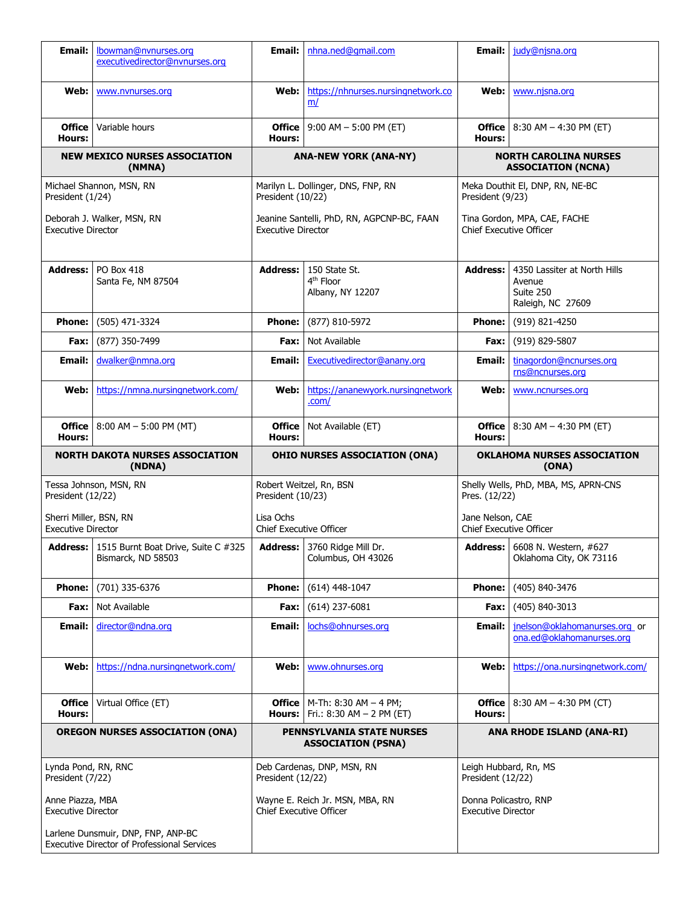| <b>Email:</b>                                           | lbowman@nvnurses.org<br>executivedirector@nynurses.org                      | Email: I                                                | nhna.ned@gmail.com                                                                     | Email:                                                    | judy@njsna.org                                                           |  |
|---------------------------------------------------------|-----------------------------------------------------------------------------|---------------------------------------------------------|----------------------------------------------------------------------------------------|-----------------------------------------------------------|--------------------------------------------------------------------------|--|
| Web:                                                    | www.nvnurses.org                                                            | Web: l                                                  | https://nhnurses.nursingnetwork.co<br>m/                                               |                                                           | Web:   www.njsna.org                                                     |  |
| <b>Office</b><br>Hours:                                 | Variable hours                                                              | Hours:                                                  | <b>Office</b>   9:00 AM $-$ 5:00 PM (ET)                                               | Hours:                                                    | <b>Office</b>   8:30 AM $-$ 4:30 PM (ET)                                 |  |
| <b>NEW MEXICO NURSES ASSOCIATION</b><br>(NMNA)          |                                                                             | <b>ANA-NEW YORK (ANA-NY)</b>                            |                                                                                        | <b>NORTH CAROLINA NURSES</b><br><b>ASSOCIATION (NCNA)</b> |                                                                          |  |
| Michael Shannon, MSN, RN<br>President (1/24)            |                                                                             | Marilyn L. Dollinger, DNS, FNP, RN<br>President (10/22) |                                                                                        | Meka Douthit El, DNP, RN, NE-BC<br>President (9/23)       |                                                                          |  |
| Deborah J. Walker, MSN, RN<br><b>Executive Director</b> |                                                                             |                                                         | Jeanine Santelli, PhD, RN, AGPCNP-BC, FAAN<br><b>Executive Director</b>                |                                                           | Tina Gordon, MPA, CAE, FACHE<br><b>Chief Executive Officer</b>           |  |
| <b>Address:</b>                                         | PO Box 418<br>Santa Fe, NM 87504                                            | Address:                                                | 150 State St.<br>4 <sup>th</sup> Floor<br>Albany, NY 12207                             | <b>Address:</b>                                           | 4350 Lassiter at North Hills<br>Avenue<br>Suite 250<br>Raleigh, NC 27609 |  |
| <b>Phone:</b>                                           | (505) 471-3324                                                              | <b>Phone:</b>                                           | (877) 810-5972                                                                         | Phone:                                                    | (919) 821-4250                                                           |  |
| Fax:                                                    | (877) 350-7499                                                              | Fax:                                                    | Not Available                                                                          | Fax:                                                      | (919) 829-5807                                                           |  |
| Email:                                                  | dwalker@nmna.org                                                            | Email:                                                  | Executivedirector@anany.org                                                            | Email:                                                    | tinagordon@ncnurses.org<br>rns@ncnurses.org                              |  |
| Web:                                                    | https://nmna.nursingnetwork.com/                                            | Web:                                                    | https://ananewyork.nursingnetwork<br>.com/                                             | Web:                                                      | www.ncnurses.org                                                         |  |
| Hours:                                                  | <b>Office</b> 8:00 AM - 5:00 PM (MT)                                        | Hours:                                                  | <b>Office</b>   Not Available (ET)                                                     | Hours:                                                    | <b>Office</b>   8:30 AM $-$ 4:30 PM (ET)                                 |  |
| <b>NORTH DAKOTA NURSES ASSOCIATION</b><br>(NDNA)        |                                                                             |                                                         |                                                                                        |                                                           |                                                                          |  |
|                                                         |                                                                             |                                                         | <b>OHIO NURSES ASSOCIATION (ONA)</b>                                                   |                                                           | OKLAHOMA NURSES ASSOCIATION<br>(ONA)                                     |  |
| President (12/22)                                       | Tessa Johnson, MSN, RN                                                      | President (10/23)                                       | Robert Weitzel, Rn, BSN                                                                | Pres. (12/22)                                             | Shelly Wells, PhD, MBA, MS, APRN-CNS                                     |  |
| Sherri Miller, BSN, RN<br><b>Executive Director</b>     |                                                                             | Lisa Ochs<br><b>Chief Executive Officer</b>             |                                                                                        | Jane Nelson, CAE<br><b>Chief Executive Officer</b>        |                                                                          |  |
|                                                         | <b>Address:</b>   1515 Burnt Boat Drive, Suite C #325<br>Bismarck, ND 58503 |                                                         | Address: 3760 Ridge Mill Dr.<br>Columbus, OH 43026                                     |                                                           | <b>Address:</b> 6608 N. Western, #627<br>Oklahoma City, OK 73116         |  |
| <b>Phone:</b>                                           | (701) 335-6376                                                              | <b>Phone:</b>                                           | $(614)$ 448-1047                                                                       | <b>Phone:</b>                                             | (405) 840-3476                                                           |  |
| Fax:                                                    | Not Available                                                               | Fax: I                                                  | $(614)$ 237-6081                                                                       | Fax:                                                      | (405) 840-3013                                                           |  |
| Email:                                                  | director@ndna.org                                                           | Email:                                                  | lochs@ohnurses.org                                                                     | Email:                                                    | jnelson@oklahomanurses.org or<br>ona.ed@oklahomanurses.org               |  |
| Web:                                                    | https://ndna.nursingnetwork.com/                                            | Web:                                                    | www.ohnurses.org                                                                       | Web: l                                                    | https://ona.nursingnetwork.com/                                          |  |
| <b>Office</b><br>Hours:                                 | Virtual Office (ET)                                                         |                                                         | <b>Office</b>   M-Th: 8:30 AM $-$ 4 PM;<br><b>Hours:</b>   Fri.: 8:30 AM $-$ 2 PM (ET) | Hours:                                                    | <b>Office</b>   8:30 AM $-$ 4:30 PM (CT)                                 |  |
|                                                         | <b>OREGON NURSES ASSOCIATION (ONA)</b>                                      |                                                         | <b>PENNSYLVANIA STATE NURSES</b><br><b>ASSOCIATION (PSNA)</b>                          |                                                           | ANA RHODE ISLAND (ANA-RI)                                                |  |
| Lynda Pond, RN, RNC<br>President (7/22)                 |                                                                             | President (12/22)                                       | Deb Cardenas, DNP, MSN, RN                                                             | Leigh Hubbard, Rn, MS<br>President (12/22)                |                                                                          |  |
| Anne Piazza, MBA<br><b>Executive Director</b>           |                                                                             | <b>Chief Executive Officer</b>                          | Wayne E. Reich Jr. MSN, MBA, RN                                                        | Donna Policastro, RNP<br><b>Executive Director</b>        |                                                                          |  |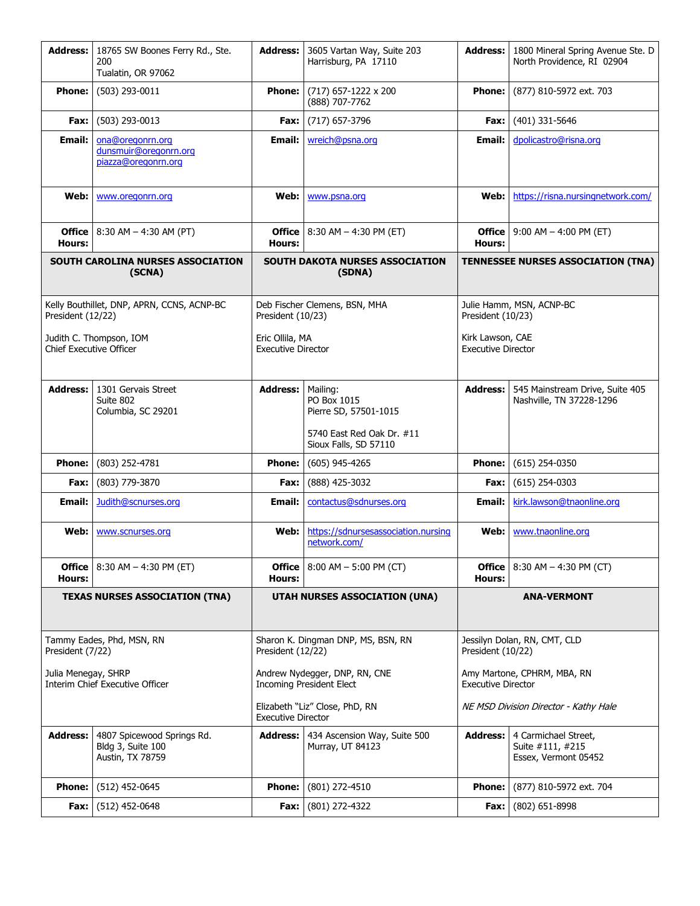| <b>Address:</b>                                                 | 18765 SW Boones Ferry Rd., Ste.<br>200<br>Tualatin, OR 97062        | <b>Address:</b>                                                  | 3605 Vartan Way, Suite 203<br>Harrisburg, PA 17110                                                     | <b>Address:</b>                                          | 1800 Mineral Spring Avenue Ste. D<br>North Providence, RI 02904  |
|-----------------------------------------------------------------|---------------------------------------------------------------------|------------------------------------------------------------------|--------------------------------------------------------------------------------------------------------|----------------------------------------------------------|------------------------------------------------------------------|
| <b>Phone:</b>                                                   | (503) 293-0011                                                      | <b>Phone:</b>                                                    | $(717)$ 657-1222 x 200<br>(888) 707-7762                                                               | <b>Phone:</b>                                            | (877) 810-5972 ext. 703                                          |
| Fax:                                                            | (503) 293-0013                                                      | Fax:                                                             | (717) 657-3796                                                                                         | Fax:                                                     | (401) 331-5646                                                   |
| Email:                                                          | ona@oregonrn.org<br>dunsmuir@oregonrn.org<br>piazza@oregonrn.org    | Email:                                                           | wreich@psna.org                                                                                        | Email:                                                   | dpolicastro@risna.org                                            |
| Web:                                                            | www.oregonrn.org                                                    | Web:                                                             | www.psna.org                                                                                           | Web:                                                     | https://risna.nursingnetwork.com/                                |
| Hours:                                                          | <b>Office</b>   8:30 AM $-$ 4:30 AM (PT)                            | Hours:                                                           | <b>Office</b>   8:30 AM - 4:30 PM (ET)                                                                 | <b>Office</b><br>Hours:                                  | $9:00$ AM $-$ 4:00 PM (ET)                                       |
|                                                                 | SOUTH CAROLINA NURSES ASSOCIATION<br>(SCNA)                         |                                                                  | <b>SOUTH DAKOTA NURSES ASSOCIATION</b><br>(SDNA)                                                       | <b>TENNESSEE NURSES ASSOCIATION (TNA)</b>                |                                                                  |
| Kelly Bouthillet, DNP, APRN, CCNS, ACNP-BC<br>President (12/22) |                                                                     | President (10/23)                                                | Deb Fischer Clemens, BSN, MHA                                                                          | President (10/23)                                        | Julie Hamm, MSN, ACNP-BC                                         |
| Judith C. Thompson, IOM<br><b>Chief Executive Officer</b>       |                                                                     | Eric Ollila, MA<br><b>Executive Director</b>                     |                                                                                                        | Kirk Lawson, CAE<br><b>Executive Director</b>            |                                                                  |
| <b>Address:</b>                                                 | 1301 Gervais Street<br>Suite 802<br>Columbia, SC 29201              | <b>Address:</b>                                                  | Mailing:<br>PO Box 1015<br>Pierre SD, 57501-1015<br>5740 East Red Oak Dr. #11<br>Sioux Falls, SD 57110 | <b>Address:</b>                                          | 545 Mainstream Drive, Suite 405<br>Nashville, TN 37228-1296      |
| <b>Phone:</b>                                                   | (803) 252-4781                                                      | <b>Phone:</b>                                                    | $(605)$ 945-4265                                                                                       | <b>Phone:</b>                                            | $(615)$ 254-0350                                                 |
| Fax:                                                            | (803) 779-3870                                                      | Fax:                                                             | (888) 425-3032                                                                                         | Fax:                                                     | $(615)$ 254-0303                                                 |
| Email:                                                          | Judith@scnurses.org                                                 | Email:                                                           | contactus@sdnurses.org                                                                                 | Email:                                                   | kirk.lawson@tnaonline.org                                        |
| Web:                                                            | www.scnurses.org                                                    | Web:                                                             | https://sdnursesassociation.nursing<br>network.com/                                                    | Web:                                                     | www.tnaonline.org                                                |
| Hours:                                                          | <b>Office</b>   8:30 AM $-$ 4:30 PM (ET)                            | Hours:                                                           | <b>Office</b>   $8:00$ AM $-$ 5:00 PM (CT)                                                             | <b>Office</b><br>Hours:                                  | 8:30 AM $-$ 4:30 PM (CT)                                         |
| <b>TEXAS NURSES ASSOCIATION (TNA)</b>                           |                                                                     |                                                                  | <b>UTAH NURSES ASSOCIATION (UNA)</b>                                                                   |                                                          | <b>ANA-VERMONT</b>                                               |
| President (7/22)                                                | Tammy Eades, Phd, MSN, RN                                           | Sharon K. Dingman DNP, MS, BSN, RN<br>President (12/22)          |                                                                                                        | Jessilyn Dolan, RN, CMT, CLD<br>President (10/22)        |                                                                  |
| Julia Menegay, SHRP                                             | Interim Chief Executive Officer                                     | Andrew Nydegger, DNP, RN, CNE<br><b>Incoming President Elect</b> |                                                                                                        | Amy Martone, CPHRM, MBA, RN<br><b>Executive Director</b> |                                                                  |
|                                                                 |                                                                     | Elizabeth "Liz" Close, PhD, RN<br><b>Executive Director</b>      |                                                                                                        | NE MSD Division Director - Kathy Hale                    |                                                                  |
| <b>Address:</b>                                                 | 4807 Spicewood Springs Rd.<br>Bldg 3, Suite 100<br>Austin, TX 78759 | Address:                                                         | 434 Ascension Way, Suite 500<br>Murray, UT 84123                                                       | <b>Address:</b>                                          | 4 Carmichael Street,<br>Suite #111, #215<br>Essex, Vermont 05452 |
| <b>Phone:</b>                                                   | $(512)$ 452-0645                                                    | <b>Phone:</b>                                                    | (801) 272-4510                                                                                         | <b>Phone:</b>                                            | (877) 810-5972 ext. 704                                          |
| Fax:                                                            | $(512)$ 452-0648                                                    | Fax:                                                             | (801) 272-4322                                                                                         | Fax:                                                     | (802) 651-8998                                                   |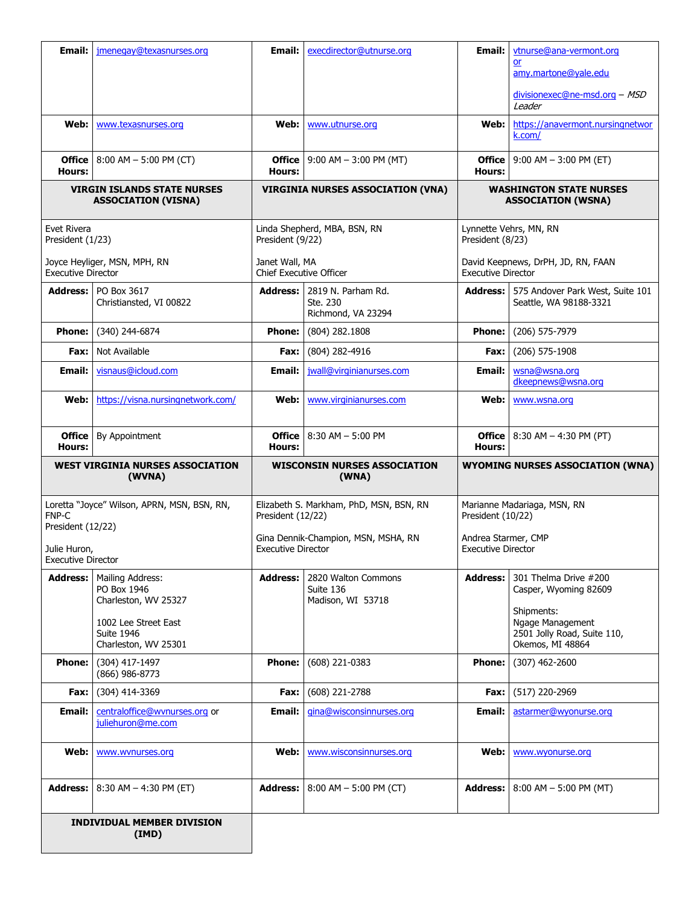| Email:                                                           | jmenegay@texasnurses.org                                          | Email:                                         | execdirector@utnurse.org                                                       | Email:                                                                | vtnurse@ana-vermont.org                                                           |
|------------------------------------------------------------------|-------------------------------------------------------------------|------------------------------------------------|--------------------------------------------------------------------------------|-----------------------------------------------------------------------|-----------------------------------------------------------------------------------|
|                                                                  |                                                                   |                                                |                                                                                |                                                                       | <b>or</b><br>amy.martone@yale.edu                                                 |
|                                                                  |                                                                   |                                                |                                                                                |                                                                       | divisionexec@ne-msd.org - MSD<br>Leader                                           |
| Web:                                                             | www.texasnurses.org                                               | Web:                                           | www.utnurse.org                                                                | Web:                                                                  | https://anavermont.nursingnetwor<br>k.com/                                        |
| <b>Office</b><br>Hours:                                          | $8:00$ AM $-5:00$ PM (CT)                                         | Hours:                                         | <b>Office</b>   $9:00$ AM $- 3:00$ PM (MT)                                     | <b>Office</b><br>Hours:                                               | $9:00$ AM $-$ 3:00 PM (ET)                                                        |
| <b>VIRGIN ISLANDS STATE NURSES</b><br><b>ASSOCIATION (VISNA)</b> |                                                                   | <b>VIRGINIA NURSES ASSOCIATION (VNA)</b>       |                                                                                | <b>WASHINGTON STATE NURSES</b><br><b>ASSOCIATION (WSNA)</b>           |                                                                                   |
| Evet Rivera<br>President (1/23)                                  |                                                                   | President (9/22)                               | Linda Shepherd, MBA, BSN, RN                                                   | Lynnette Vehrs, MN, RN<br>President (8/23)                            |                                                                                   |
| <b>Executive Director</b>                                        | Joyce Heyliger, MSN, MPH, RN                                      | Janet Wall, MA<br>Chief Executive Officer      |                                                                                | <b>Executive Director</b>                                             | David Keepnews, DrPH, JD, RN, FAAN                                                |
| <b>Address:</b>                                                  | PO Box 3617<br>Christiansted, VI 00822                            | Address: I                                     | 2819 N. Parham Rd.<br>Ste. 230<br>Richmond, VA 23294                           | Address:                                                              | 575 Andover Park West, Suite 101<br>Seattle, WA 98188-3321                        |
| <b>Phone:</b>                                                    | (340) 244-6874                                                    | <b>Phone:</b>                                  | (804) 282.1808                                                                 | <b>Phone:</b>                                                         | (206) 575-7979                                                                    |
| Fax:                                                             | Not Available                                                     | Fax:                                           | (804) 282-4916                                                                 | Fax:                                                                  | (206) 575-1908                                                                    |
| Email:                                                           | visnaus@icloud.com                                                | Email:                                         | jwall@virginianurses.com                                                       | <b>Email:</b>                                                         | wsna@wsna.org<br>dkeepnews@wsna.org                                               |
| Web:                                                             | https://visna.nursingnetwork.com/                                 | Web:                                           | www.virginianurses.com                                                         | Web:                                                                  | www.wsna.org                                                                      |
| <b>Office</b><br>Hours:                                          | By Appointment                                                    | <b>Office</b><br>Hours:                        | 8:30 AM - 5:00 PM                                                              | <b>Office</b><br>Hours:                                               | $8:30$ AM $-$ 4:30 PM (PT)                                                        |
| <b>WEST VIRGINIA NURSES ASSOCIATION</b><br>(WVNA)                |                                                                   |                                                |                                                                                |                                                                       |                                                                                   |
|                                                                  |                                                                   |                                                | <b>WISCONSIN NURSES ASSOCIATION</b><br>(WNA)                                   |                                                                       | <b>WYOMING NURSES ASSOCIATION (WNA)</b>                                           |
| FNP-C<br>President (12/22)<br>Julie Huron,                       | Loretta "Joyce" Wilson, APRN, MSN, BSN, RN,                       | President (12/22)<br><b>Executive Director</b> | Elizabeth S. Markham, PhD, MSN, BSN, RN<br>Gina Dennik-Champion, MSN, MSHA, RN | President (10/22)<br>Andrea Starmer, CMP<br><b>Executive Director</b> | Marianne Madariaga, MSN, RN                                                       |
| Executive Director<br><b>Address:</b>                            | Mailing Address:<br>PO Box 1946<br>Charleston, WV 25327           | <b>Address:</b>                                | 2820 Walton Commons<br>Suite 136<br>Madison, WI 53718                          | <b>Address:</b>                                                       | 301 Thelma Drive #200<br>Casper, Wyoming 82609                                    |
|                                                                  | 1002 Lee Street East<br><b>Suite 1946</b><br>Charleston, WV 25301 |                                                |                                                                                |                                                                       | Shipments:<br>Ngage Management<br>2501 Jolly Road, Suite 110,<br>Okemos, MI 48864 |
| <b>Phone:</b>                                                    | (304) 417-1497<br>(866) 986-8773                                  | <b>Phone:</b>                                  | $(608)$ 221-0383                                                               | <b>Phone:</b>                                                         | $(307)$ 462-2600                                                                  |
| Fax:                                                             | (304) 414-3369                                                    | Fax:                                           | (608) 221-2788                                                                 | Fax:                                                                  | (517) 220-2969                                                                    |
| Email:                                                           | centraloffice@wvnurses.org or<br>juliehuron@me.com                | Email:                                         | gina@wisconsinnurses.org                                                       | Email:                                                                | astarmer@wyonurse.org                                                             |
| Web:                                                             | www.wvnurses.org                                                  | Web:                                           | www.wisconsinnurses.org                                                        | Web:                                                                  | www.wyonurse.org                                                                  |
| <b>Address:</b>                                                  | 8:30 AM $-$ 4:30 PM (ET)                                          | <b>Address:</b>                                | $8:00$ AM $-5:00$ PM (CT)                                                      | <b>Address:</b>                                                       | $8:00$ AM $-$ 5:00 PM (MT)                                                        |